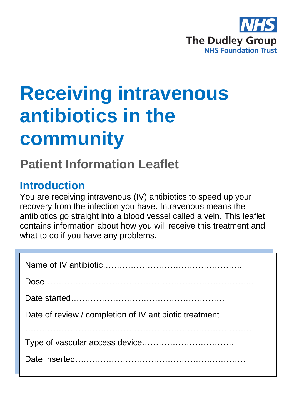

# **Receiving intravenous antibiotics in the community**

## **Patient Information Leaflet**

#### **Introduction**

You are receiving intravenous (IV) antibiotics to speed up your recovery from the infection you have. Intravenous means the antibiotics go straight into a blood vessel called a vein. This leaflet contains information about how you will receive this treatment and what to do if you have any problems.

| Date of review / completion of IV antibiotic treatment |
|--------------------------------------------------------|
|                                                        |
|                                                        |
|                                                        |
|                                                        |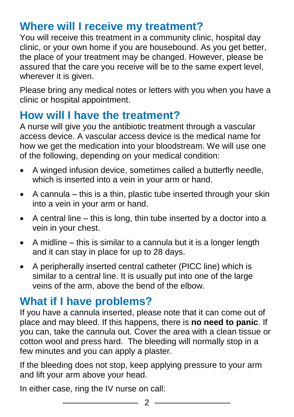#### **Where will I receive my treatment?**

You will receive this treatment in a community clinic, hospital day clinic, or your own home if you are housebound. As you get better, the place of your treatment may be changed. However, please be assured that the care you receive will be to the same expert level, wherever it is given.

Please bring any medical notes or letters with you when you have a clinic or hospital appointment.

### **How will I have the treatment?**

A nurse will give you the antibiotic treatment through a vascular access device. A vascular access device is the medical name for how we get the medication into your bloodstream. We will use one of the following, depending on your medical condition:

- A winged infusion device, sometimes called a butterfly needle, which is inserted into a vein in your arm or hand.
- $\bullet$  A cannula this is a thin, plastic tube inserted through your skin into a vein in your arm or hand.
- A central line this is long, thin tube inserted by a doctor into a vein in your chest.
- $\bullet$  A midline this is similar to a cannula but it is a longer length and it can stay in place for up to 28 days.
- A peripherally inserted central catheter (PICC line) which is similar to a central line. It is usually put into one of the large veins of the arm, above the bend of the elbow.

#### **What if I have problems?**

If you have a cannula inserted, please note that it can come out of place and may bleed. If this happens, there is **no need to panic**. If you can, take the cannula out. Cover the area with a clean tissue or cotton wool and press hard. The bleeding will normally stop in a few minutes and you can apply a plaster.

If the bleeding does not stop, keep applying pressure to your arm and lift your arm above your head.

In either case, ring the IV nurse on call: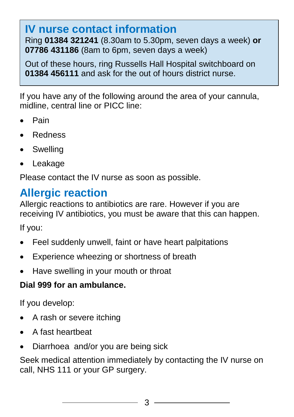### **IV nurse contact information**

Ring **01384 321241** (8.30am to 5.30pm, seven days a week) **or 07786 431186** (8am to 6pm, seven days a week)

Out of these hours, ring Russells Hall Hospital switchboard on **01384 456111** and ask for the out of hours district nurse.

If you have any of the following around the area of your cannula, midline, central line or PICC line:

- Pain
- Redness
- Swelling
- Leakage

Please contact the IV nurse as soon as possible.

### **Allergic reaction**

Allergic reactions to antibiotics are rare. However if you are receiving IV antibiotics, you must be aware that this can happen.

If you:

- Feel suddenly unwell, faint or have heart palpitations
- Experience wheezing or shortness of breath
- Have swelling in your mouth or throat

#### **Dial 999 for an ambulance.**

If you develop:

- A rash or severe itching
- A fast heartbeat
- Diarrhoea and/or you are being sick

Seek medical attention immediately by contacting the IV nurse on call, NHS 111 or your GP surgery.